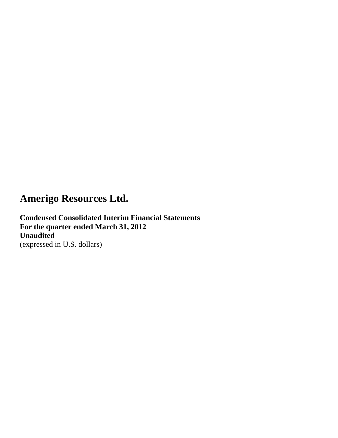**Condensed Consolidated Interim Financial Statements For the quarter ended March 31, 2012 Unaudited** (expressed in U.S. dollars)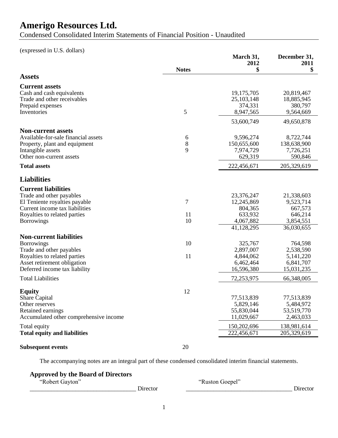Condensed Consolidated Interim Statements of Financial Position - Unaudited

(expressed in U.S. dollars)

|                                                                                                                                                                                 | <b>Notes</b>  | March 31,<br>2012<br>\$                                                   | December 31,<br>2011<br>\$                                               |
|---------------------------------------------------------------------------------------------------------------------------------------------------------------------------------|---------------|---------------------------------------------------------------------------|--------------------------------------------------------------------------|
| <b>Assets</b>                                                                                                                                                                   |               |                                                                           |                                                                          |
| <b>Current assets</b><br>Cash and cash equivalents<br>Trade and other receivables<br>Prepaid expenses<br>Inventories                                                            | 5             | 19,175,705<br>25, 103, 148<br>374,331<br>8,947,565                        | 20,819,467<br>18,885,945<br>380,797<br>9,564,669                         |
|                                                                                                                                                                                 |               | 53,600,749                                                                | 49,650,878                                                               |
| <b>Non-current assets</b><br>Available-for-sale financial assets<br>Property, plant and equipment<br>Intangible assets<br>Other non-current assets                              | 6<br>8<br>9   | 9,596,274<br>150,655,600<br>7,974,729<br>629,319                          | 8,722,744<br>138,638,900<br>7,726,251<br>590,846                         |
| <b>Total assets</b>                                                                                                                                                             |               | 222,456,671                                                               | 205,329,619                                                              |
| <b>Liabilities</b>                                                                                                                                                              |               |                                                                           |                                                                          |
| <b>Current liabilities</b><br>Trade and other payables<br>El Teniente royalties payable<br>Current income tax liabilities<br>Royalties to related parties<br><b>Borrowings</b>  | 7<br>11<br>10 | 23,376,247<br>12,245,869<br>804,365<br>633,932<br>4,067,882<br>41,128,295 | 21,338,603<br>9,523,714<br>667,573<br>646,214<br>3,854,551<br>36,030,655 |
| <b>Non-current liabilities</b><br><b>Borrowings</b><br>Trade and other payables<br>Royalties to related parties<br>Asset retirement obligation<br>Deferred income tax liability | 10<br>11      | 325,767<br>2,897,007<br>4,844,062<br>6,462,464<br>16,596,380              | 764,598<br>2,538,590<br>5, 141, 220<br>6,841,707<br>15,031,235           |
| <b>Total Liabilities</b>                                                                                                                                                        |               | 72,253,975                                                                | 66,348,005                                                               |
| <b>Equity</b><br><b>Share Capital</b><br>Other reserves<br>Retained earnings<br>Accumulated other comprehensive income                                                          | 12            | 77,513,839<br>5,829,146<br>55,830,044<br>11,029,667                       | 77,513,839<br>5,484,972<br>53,519,770<br>2,463,033                       |
| Total equity<br><b>Total equity and liabilities</b>                                                                                                                             |               | 150,202,696<br>222,456,671                                                | 138,981,614<br>205,329,619                                               |
| <b>Subsequent events</b>                                                                                                                                                        | 20            |                                                                           |                                                                          |

The accompanying notes are an integral part of these condensed consolidated interim financial statements.

### **Approved by the Board of Directors**

"Robert Gayton" "Ruston Goepel"

\_\_\_\_\_\_\_\_\_\_\_\_\_\_\_\_\_\_\_\_\_\_\_\_\_\_\_\_\_\_\_\_\_\_\_ Director \_\_\_\_\_\_\_\_\_\_\_\_\_\_\_\_\_\_\_\_\_\_\_\_\_\_\_\_\_\_\_\_\_\_\_ Director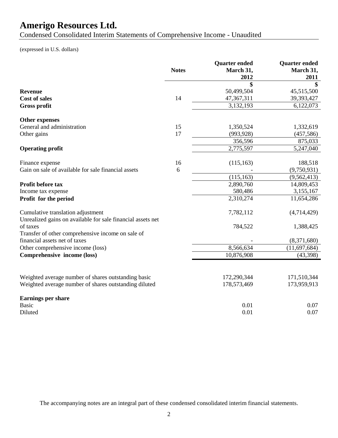Condensed Consolidated Interim Statements of Comprehensive Income - Unaudited

(expressed in U.S. dollars)

|                                                             | <b>Notes</b> | <b>Quarter ended</b><br>March 31,<br>2012 | <b>Quarter ended</b><br>March 31,<br>2011 |
|-------------------------------------------------------------|--------------|-------------------------------------------|-------------------------------------------|
|                                                             |              | \$                                        | \$                                        |
| <b>Revenue</b>                                              |              | 50,499,504                                | 45,515,500                                |
| <b>Cost of sales</b>                                        | 14           | 47,367,311                                | 39,393,427                                |
| <b>Gross profit</b>                                         |              | 3,132,193                                 | 6,122,073                                 |
| Other expenses                                              |              |                                           |                                           |
| General and administration                                  | 15           | 1,350,524                                 | 1,332,619                                 |
| Other gains                                                 | 17           | (993, 928)                                | (457, 586)                                |
|                                                             |              | 356,596                                   | 875,033                                   |
| <b>Operating profit</b>                                     |              | 2,775,597                                 | 5,247,040                                 |
| Finance expense                                             | 16           | (115, 163)                                | 188,518                                   |
| Gain on sale of available for sale financial assets         | 6            |                                           | (9,750,931)                               |
|                                                             |              | (115, 163)                                | (9, 562, 413)                             |
| Profit before tax                                           |              | 2,890,760                                 | 14,809,453                                |
| Income tax expense                                          |              | 580,486                                   | 3,155,167                                 |
| Profit for the period                                       |              | 2,310,274                                 | 11,654,286                                |
| Cumulative translation adjustment                           |              | 7,782,112                                 | (4,714,429)                               |
| Unrealized gains on available for sale financial assets net |              |                                           |                                           |
| of taxes                                                    |              | 784,522                                   | 1,388,425                                 |
| Transfer of other comprehensive income on sale of           |              |                                           |                                           |
| financial assets net of taxes                               |              |                                           | (8,371,680)                               |
| Other comprehensive income (loss)                           |              | 8,566,634                                 | (11, 697, 684)                            |
| Comprehensive income (loss)                                 |              | 10,876,908                                | (43,398)                                  |
|                                                             |              |                                           |                                           |
| Weighted average number of shares outstanding basic         |              | 172,290,344                               | 171,510,344                               |
| Weighted average number of shares outstanding diluted       |              | 178,573,469                               | 173,959,913                               |
| Earnings per share                                          |              |                                           |                                           |
| <b>Basic</b>                                                |              | 0.01                                      | 0.07                                      |
| Diluted                                                     |              | 0.01                                      | 0.07                                      |
|                                                             |              |                                           |                                           |

The accompanying notes are an integral part of these condensed consolidated interim financial statements.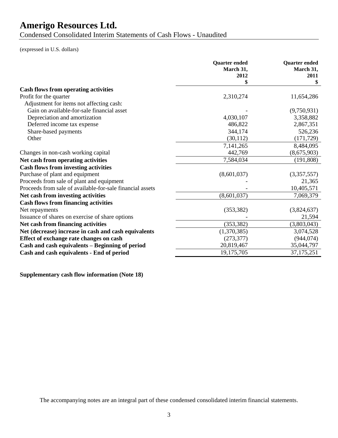Condensed Consolidated Interim Statements of Cash Flows - Unaudited

(expressed in U.S. dollars)

|                                                           | <b>Quarter</b> ended<br>March 31,<br>2012 | <b>Quarter</b> ended<br>March 31,<br>2011 |
|-----------------------------------------------------------|-------------------------------------------|-------------------------------------------|
|                                                           | \$                                        |                                           |
| <b>Cash flows from operating activities</b>               |                                           |                                           |
| Profit for the quarter                                    | 2,310,274                                 | 11,654,286                                |
| Adjustment for items not affecting cash:                  |                                           |                                           |
| Gain on available-for-sale financial asset                |                                           | (9,750,931)                               |
| Depreciation and amortization                             | 4,030,107                                 | 3,358,882                                 |
| Deferred income tax expense                               | 486,822                                   | 2,867,351                                 |
| Share-based payments                                      | 344,174                                   | 526,236                                   |
| Other                                                     | (30, 112)                                 | (171, 729)                                |
|                                                           | 7,141,265                                 | 8,484,095                                 |
| Changes in non-cash working capital                       | 442,769                                   | (8,675,903)                               |
| Net cash from operating activities                        | 7,584,034                                 | (191, 808)                                |
| <b>Cash flows from investing activities</b>               |                                           |                                           |
| Purchase of plant and equipment                           | (8,601,037)                               | (3,357,557)                               |
| Proceeds from sale of plant and equipment                 |                                           | 21,365                                    |
| Proceeds from sale of available-for-sale financial assets |                                           | 10,405,571                                |
| Net cash from investing activities                        | (8,601,037)                               | 7,069,379                                 |
| <b>Cash flows from financing activities</b>               |                                           |                                           |
| Net repayments                                            | (353, 382)                                | (3,824,637)                               |
| Issuance of shares on exercise of share options           |                                           | 21,594                                    |
| Net cash from financing activities                        | (353, 382)                                | (3,803,043)                               |
| Net (decrease) increase in cash and cash equivalents      | (1,370,385)                               | 3,074,528                                 |
| Effect of exchange rate changes on cash                   | (273, 377)                                | (944, 074)                                |
| Cash and cash equivalents - Beginning of period           | 20,819,467                                | 35,044,797                                |
| Cash and cash equivalents - End of period                 | 19,175,705                                | 37, 175, 251                              |
|                                                           |                                           |                                           |

**Supplementary cash flow information (Note 18)** 

The accompanying notes are an integral part of these condensed consolidated interim financial statements.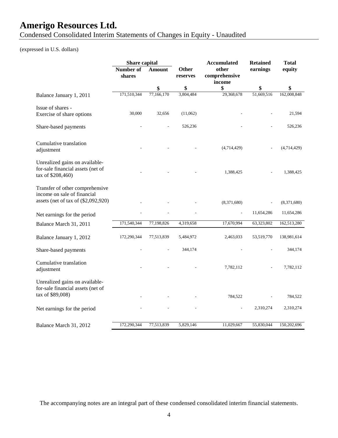Condensed Consolidated Interim Statements of Changes in Equity - Unaudited

### (expressed in U.S. dollars)

| Other<br>Number of<br>other<br>earnings<br><b>Amount</b><br>comprehensive<br>shares<br>reserves<br>income            | equity<br>\$ |
|----------------------------------------------------------------------------------------------------------------------|--------------|
|                                                                                                                      |              |
| \$<br>\$<br>\$<br>\$                                                                                                 |              |
| 171,510,344<br>3,804,484<br>51,669,516<br>77,166,170<br>29,368,678<br>Balance January 1, 2011                        | 162,008,848  |
| Issue of shares -<br>30,000<br>32,656<br>(11,062)<br>Exercise of share options                                       | 21,594       |
| 526,236<br>Share-based payments                                                                                      | 526,236      |
| Cumulative translation<br>(4,714,429)<br>adjustment                                                                  | (4,714,429)  |
| Unrealized gains on available-<br>for-sale financial assets (net of<br>1,388,425<br>tax of \$208,460)                | 1,388,425    |
| Transfer of other comprehensive<br>income on sale of financial<br>assets (net of tax of (\$2,092,920)<br>(8,371,680) | (8,371,680)  |
| 11,654,286<br>$\frac{1}{2}$<br>Net earnings for the period                                                           | 11,654,286   |
| 17,670,994<br>171,540,344<br>77,198,826<br>4,319,658<br>63,323,802<br>Balance March 31, 2011                         | 162,513,280  |
| 172,290,344<br>77,513,839<br>5,484,972<br>2,463,033<br>53,519,770<br>Balance January 1, 2012                         | 138,981,614  |
| 344,174<br>Share-based payments                                                                                      | 344,174      |
| Cumulative translation<br>7,782,112<br>adjustment                                                                    | 7,782,112    |
| Unrealized gains on available-<br>for-sale financial assets (net of<br>tax of \$89,008)<br>784,522                   | 784,522      |
| 2,310,274<br>Net earnings for the period                                                                             | 2,310,274    |
| 172,290,344<br>77,513,839<br>5,829,146<br>11,029,667<br>55,830,044<br>Balance March 31, 2012                         | 150,202,696  |

The accompanying notes are an integral part of these condensed consolidated interim financial statements.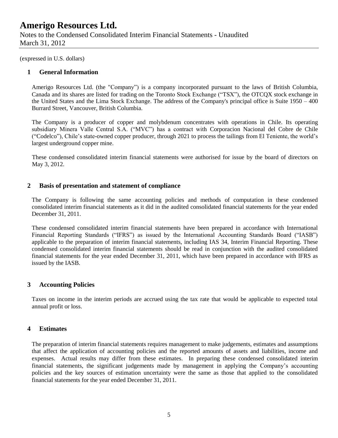Notes to the Condensed Consolidated Interim Financial Statements - Unaudited March 31, 2012

(expressed in U.S. dollars)

#### **1 General Information**

Amerigo Resources Ltd. (the "Company") is a company incorporated pursuant to the laws of British Columbia, Canada and its shares are listed for trading on the Toronto Stock Exchange ("TSX"), the OTCQX stock exchange in the United States and the Lima Stock Exchange. The address of the Company's principal office is Suite 1950 – 400 Burrard Street, Vancouver, British Columbia.

The Company is a producer of copper and molybdenum concentrates with operations in Chile. Its operating subsidiary Minera Valle Central S.A. ("MVC") has a contract with Corporacion Nacional del Cobre de Chile ("Codelco"), Chile's state-owned copper producer, through 2021 to process the tailings from El Teniente, the world's largest underground copper mine.

These condensed consolidated interim financial statements were authorised for issue by the board of directors on May 3, 2012.

#### **2 Basis of presentation and statement of compliance**

The Company is following the same accounting policies and methods of computation in these condensed consolidated interim financial statements as it did in the audited consolidated financial statements for the year ended December 31, 2011.

These condensed consolidated interim financial statements have been prepared in accordance with International Financial Reporting Standards ("IFRS") as issued by the International Accounting Standards Board ("IASB") applicable to the preparation of interim financial statements, including IAS 34, Interim Financial Reporting. These condensed consolidated interim financial statements should be read in conjunction with the audited consolidated financial statements for the year ended December 31, 2011, which have been prepared in accordance with IFRS as issued by the IASB.

#### **3 Accounting Policies**

Taxes on income in the interim periods are accrued using the tax rate that would be applicable to expected total annual profit or loss.

#### **4 Estimates**

The preparation of interim financial statements requires management to make judgements, estimates and assumptions that affect the application of accounting policies and the reported amounts of assets and liabilities, income and expenses. Actual results may differ from these estimates. In preparing these condensed consolidated interim financial statements, the significant judgements made by management in applying the Company's accounting policies and the key sources of estimation uncertainty were the same as those that applied to the consolidated financial statements for the year ended December 31, 2011.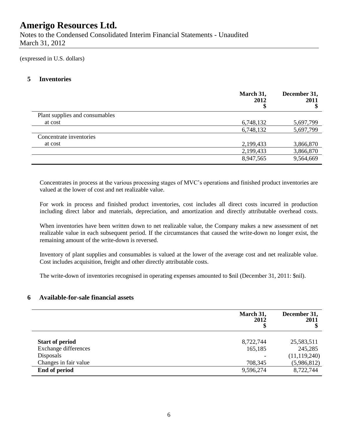Notes to the Condensed Consolidated Interim Financial Statements - Unaudited March 31, 2012

(expressed in U.S. dollars)

### **5 Inventories**

|                                | March 31,<br>2012 | December 31,<br>2011<br>Φ |
|--------------------------------|-------------------|---------------------------|
| Plant supplies and consumables |                   |                           |
| at cost                        | 6,748,132         | 5,697,799                 |
|                                | 6,748,132         | 5,697,799                 |
| Concentrate inventories        |                   |                           |
| at cost                        | 2,199,433         | 3,866,870                 |
|                                | 2,199,433         | 3,866,870                 |
|                                | 8,947,565         | 9,564,669                 |

Concentrates in process at the various processing stages of MVC's operations and finished product inventories are valued at the lower of cost and net realizable value.

For work in process and finished product inventories, cost includes all direct costs incurred in production including direct labor and materials, depreciation, and amortization and directly attributable overhead costs.

When inventories have been written down to net realizable value, the Company makes a new assessment of net realizable value in each subsequent period. If the circumstances that caused the write-down no longer exist, the remaining amount of the write-down is reversed.

Inventory of plant supplies and consumables is valued at the lower of the average cost and net realizable value. Cost includes acquisition, freight and other directly attributable costs.

The write-down of inventories recognised in operating expenses amounted to \$nil (December 31, 2011: \$nil).

#### **6 Available-for-sale financial assets**

|                             | March 31,<br>2012 | December 31,<br>2011<br>Φ |
|-----------------------------|-------------------|---------------------------|
| <b>Start of period</b>      | 8,722,744         | 25,583,511                |
| <b>Exchange differences</b> | 165,185           | 245,285                   |
| Disposals                   |                   | (11, 119, 240)            |
| Changes in fair value       | 708,345           | (5,986,812)               |
| End of period               | 9,596,274         | 8,722,744                 |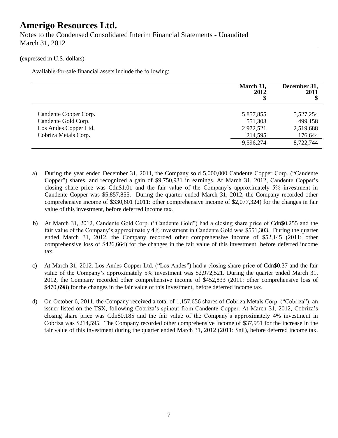Notes to the Condensed Consolidated Interim Financial Statements - Unaudited March 31, 2012

#### (expressed in U.S. dollars)

Available-for-sale financial assets include the following:

|                       | March 31,<br>2012 | December 31,<br>2011<br>\$ |
|-----------------------|-------------------|----------------------------|
| Candente Copper Corp. | 5,857,855         | 5,527,254                  |
| Candente Gold Corp.   | 551,303           | 499,158                    |
| Los Andes Copper Ltd. | 2,972,521         | 2,519,688                  |
| Cobriza Metals Corp.  | 214,595           | 176,644                    |
|                       | 9,596,274         | 8,722,744                  |

- a) During the year ended December 31, 2011, the Company sold 5,000,000 Candente Copper Corp. ("Candente Copper") shares, and recognized a gain of \$9,750,931 in earnings. At March 31, 2012, Candente Copper's closing share price was Cdn\$1.01 and the fair value of the Company's approximately 5% investment in Candente Copper was \$5,857,855. During the quarter ended March 31, 2012, the Company recorded other comprehensive income of \$330,601 (2011: other comprehensive income of \$2,077,324) for the changes in fair value of this investment, before deferred income tax.
- b) At March 31, 2012, Candente Gold Corp. ("Candente Gold") had a closing share price of Cdn\$0.255 and the fair value of the Company's approximately 4% investment in Candente Gold was \$551,303. During the quarter ended March 31, 2012, the Company recorded other comprehensive income of \$52,145 (2011: other comprehensive loss of \$426,664) for the changes in the fair value of this investment, before deferred income tax.
- c) At March 31, 2012, Los Andes Copper Ltd. ("Los Andes") had a closing share price of Cdn\$0.37 and the fair value of the Company's approximately 5% investment was \$2,972,521. During the quarter ended March 31, 2012, the Company recorded other comprehensive income of \$452,833 (2011: other comprehensive loss of \$470,698) for the changes in the fair value of this investment, before deferred income tax.
- d) On October 6, 2011, the Company received a total of 1,157,656 shares of Cobriza Metals Corp. ("Cobriza"), an issuer listed on the TSX, following Cobriza's spinout from Candente Copper. At March 31, 2012, Cobriza's closing share price was Cdn\$0.185 and the fair value of the Company's approximately 4% investment in Cobriza was \$214,595. The Company recorded other comprehensive income of \$37,951 for the increase in the fair value of this investment during the quarter ended March 31, 2012 (2011: \$nil), before deferred income tax.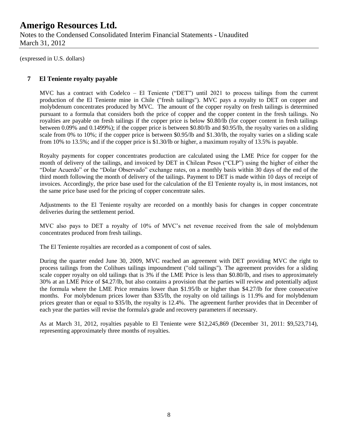Notes to the Condensed Consolidated Interim Financial Statements - Unaudited March 31, 2012

(expressed in U.S. dollars)

### **7 El Teniente royalty payable**

MVC has a contract with Codelco – El Teniente ("DET") until 2021 to process tailings from the current production of the El Teniente mine in Chile ("fresh tailings"). MVC pays a royalty to DET on copper and molybdenum concentrates produced by MVC. The amount of the copper royalty on fresh tailings is determined pursuant to a formula that considers both the price of copper and the copper content in the fresh tailings. No royalties are payable on fresh tailings if the copper price is below \$0.80/lb (for copper content in fresh tailings between 0.09% and 0.1499%); if the copper price is between \$0.80/lb and \$0.95/lb, the royalty varies on a sliding scale from 0% to 10%; if the copper price is between \$0.95/lb and \$1.30/lb, the royalty varies on a sliding scale from 10% to 13.5%; and if the copper price is \$1.30/lb or higher, a maximum royalty of 13.5% is payable.

Royalty payments for copper concentrates production are calculated using the LME Price for copper for the month of delivery of the tailings, and invoiced by DET in Chilean Pesos ("CLP") using the higher of either the "Dolar Acuerdo" or the "Dolar Observado" exchange rates, on a monthly basis within 30 days of the end of the third month following the month of delivery of the tailings. Payment to DET is made within 10 days of receipt of invoices. Accordingly, the price base used for the calculation of the El Teniente royalty is, in most instances, not the same price base used for the pricing of copper concentrate sales.

Adjustments to the El Teniente royalty are recorded on a monthly basis for changes in copper concentrate deliveries during the settlement period.

MVC also pays to DET a royalty of 10% of MVC's net revenue received from the sale of molybdenum concentrates produced from fresh tailings.

The El Teniente royalties are recorded as a component of cost of sales.

During the quarter ended June 30, 2009, MVC reached an agreement with DET providing MVC the right to process tailings from the Colihues tailings impoundment ("old tailings"). The agreement provides for a sliding scale copper royalty on old tailings that is 3% if the LME Price is less than \$0.80/lb, and rises to approximately 30% at an LME Price of \$4.27/lb, but also contains a provision that the parties will review and potentially adjust the formula where the LME Price remains lower than \$1.95/lb or higher than \$4.27/lb for three consecutive months. For molybdenum prices lower than \$35/lb, the royalty on old tailings is 11.9% and for molybdenum prices greater than or equal to \$35/lb, the royalty is 12.4%. The agreement further provides that in December of each year the parties will revise the formula's grade and recovery parameters if necessary.

As at March 31, 2012, royalties payable to El Teniente were \$12,245,869 (December 31, 2011: \$9,523,714), representing approximately three months of royalties.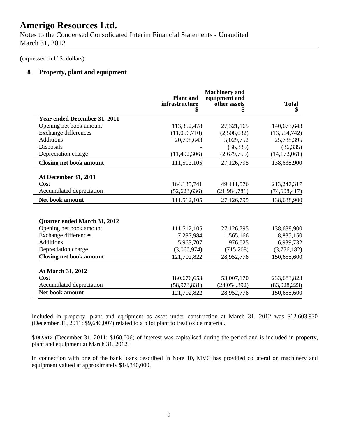Notes to the Condensed Consolidated Interim Financial Statements - Unaudited March 31, 2012

(expressed in U.S. dollars)

### **8 Property, plant and equipment**

|                                | <b>Plant</b> and<br>infrastructure<br>\$ | <b>Machinery</b> and<br>equipment and<br>other assets<br>\$ | <b>Total</b><br>\$ |
|--------------------------------|------------------------------------------|-------------------------------------------------------------|--------------------|
| Year ended December 31, 2011   |                                          |                                                             |                    |
| Opening net book amount        | 113,352,478                              | 27,321,165                                                  | 140,673,643        |
| <b>Exchange differences</b>    | (11,056,710)                             | (2,508,032)                                                 | (13, 564, 742)     |
| <b>Additions</b>               | 20,708,643                               | 5,029,752                                                   | 25,738,395         |
| Disposals                      |                                          | (36, 335)                                                   | (36, 335)          |
| Depreciation charge            | (11, 492, 306)                           | (2,679,755)                                                 | (14, 172, 061)     |
| <b>Closing net book amount</b> | 111,512,105                              | 27,126,795                                                  | 138,638,900        |
| <b>At December 31, 2011</b>    |                                          |                                                             |                    |
| Cost                           | 164, 135, 741                            | 49,111,576                                                  | 213,247,317        |
| Accumulated depreciation       | (52, 623, 636)                           | (21, 984, 781)                                              | (74, 608, 417)     |
| Net book amount                | 111,512,105                              | 27,126,795                                                  | 138,638,900        |
| Quarter ended March 31, 2012   |                                          |                                                             |                    |
| Opening net book amount        | 111,512,105                              | 27,126,795                                                  | 138,638,900        |
| <b>Exchange differences</b>    | 7,287,984                                | 1,565,166                                                   | 8,835,150          |
| <b>Additions</b>               | 5,963,707                                | 976,025                                                     | 6,939,732          |
| Depreciation charge            | (3,060,974)                              | (715,208)                                                   | (3,776,182)        |
| <b>Closing net book amount</b> | 121,702,822                              | 28,952,778                                                  | 150,655,600        |
| At March 31, 2012              |                                          |                                                             |                    |
| Cost                           | 180,676,653                              | 53,007,170                                                  | 233,683,823        |
| Accumulated depreciation       | (58, 973, 831)                           | (24, 054, 392)                                              | (83,028,223)       |
| <b>Net book amount</b>         | 121,702,822                              | 28,952,778                                                  | 150,655,600        |

Included in property, plant and equipment as asset under construction at March 31, 2012 was \$12,603,930 (December 31, 2011: \$9,646,007) related to a pilot plant to treat oxide material.

\$**182,612** (December 31, 2011: \$160,006) of interest was capitalised during the period and is included in property, plant and equipment at March 31, 2012.

In connection with one of the bank loans described in Note 10, MVC has provided collateral on machinery and equipment valued at approximately \$14,340,000.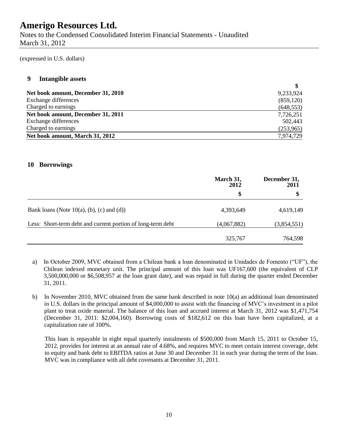Notes to the Condensed Consolidated Interim Financial Statements - Unaudited March 31, 2012

(expressed in U.S. dollars)

#### **9 Intangible assets**

| 9,233,924  |
|------------|
| (859, 120) |
| (648, 553) |
| 7,726,251  |
| 502,443    |
| (253,965)  |
| 7,974,729  |
|            |

**\$**

#### **10 Borrowings**

|                                                             | March 31,<br>2012<br>\$ | December 31,<br>2011<br>\$ |
|-------------------------------------------------------------|-------------------------|----------------------------|
|                                                             |                         |                            |
| Bank loans (Note $10(a)$ , (b), (c) and (d))                | 4,393,649               | 4,619,149                  |
| Less: Short-term debt and current portion of long-term debt | (4,067,882)             | (3,854,551)                |
|                                                             | 325,767                 | 764,598                    |

- a) In October 2009, MVC obtained from a Chilean bank a loan denominated in Unidades de Fomento ("UF"), the Chilean indexed monetary unit. The principal amount of this loan was UF167,600 (the equivalent of CLP 3,500,000,000 or \$6,508,957 at the loan grant date), and was repaid in full during the quarter ended December 31, 2011.
- b) In November 2010, MVC obtained from the same bank described in note 10(a) an additional loan denominated in U.S. dollars in the principal amount of \$4,000,000 to assist with the financing of MVC's investment in a pilot plant to treat oxide material. The balance of this loan and accrued interest at March 31, 2012 was \$1,471,754 (December 31, 2011: \$2,004,160). Borrowing costs of \$182,612 on this loan have been capitalized, at a capitalization rate of 100%.

This loan is repayable in eight equal quarterly instalments of \$500,000 from March 15, 2011 to October 15, 2012, provides for interest at an annual rate of 4.68%, and requires MVC to meet certain interest coverage, debt to equity and bank debt to EBITDA ratios at June 30 and December 31 in each year during the term of the loan. MVC was in compliance with all debt covenants at December 31, 2011.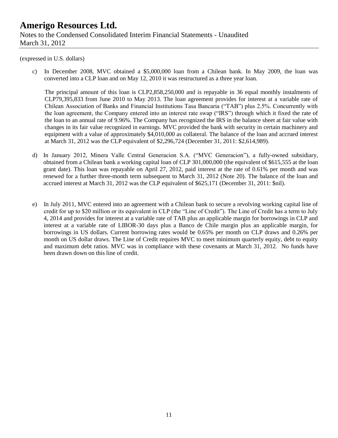### **Amerigo Resources Ltd.** Notes to the Condensed Consolidated Interim Financial Statements - Unaudited March 31, 2012

#### (expressed in U.S. dollars)

c) In December 2008, MVC obtained a \$5,000,000 loan from a Chilean bank. In May 2009, the loan was converted into a CLP loan and on May 12, 2010 it was restructured as a three year loan.

The principal amount of this loan is CLP2,858,250,000 and is repayable in 36 equal monthly instalments of CLP79,395,833 from June 2010 to May 2013. The loan agreement provides for interest at a variable rate of Chilean Association of Banks and Financial Institutions Tasa Bancaria ("TAB") plus 2.5%. Concurrently with the loan agreement, the Company entered into an interest rate swap ("IRS") through which it fixed the rate of the loan to an annual rate of 9.96%. The Company has recognized the IRS in the balance sheet at fair value with changes in its fair value recognized in earnings. MVC provided the bank with security in certain machinery and equipment with a value of approximately \$4,010,000 as collateral. The balance of the loan and accrued interest at March 31, 2012 was the CLP equivalent of \$2,296,724 (December 31, 2011: \$2,614,989).

- d) In January 2012, Minera Valle Central Generacion S.A. ("MVC Generacion"), a fully-owned subsidiary, obtained from a Chilean bank a working capital loan of CLP 301,000,000 (the equivalent of \$615,555 at the loan grant date). This loan was repayable on April 27, 2012, paid interest at the rate of 0.61% per month and was renewed for a further three-month term subsequent to March 31, 2012 (Note 20). The balance of the loan and accrued interest at March 31, 2012 was the CLP equivalent of \$625,171 (December 31, 2011: \$nil).
- e) In July 2011, MVC entered into an agreement with a Chilean bank to secure a revolving working capital line of credit for up to \$20 million or its equivalent in CLP (the "Line of Credit"). The Line of Credit has a term to July 4, 2014 and provides for interest at a variable rate of TAB plus an applicable margin for borrowings in CLP and interest at a variable rate of LIBOR-30 days plus a Banco de Chile margin plus an applicable margin, for borrowings in US dollars. Current borrowing rates would be 0.65% per month on CLP draws and 0.26% per month on US dollar draws. The Line of Credit requires MVC to meet minimum quarterly equity, debt to equity and maximum debt ratios. MVC was in compliance with these covenants at March 31, 2012. No funds have been drawn down on this line of credit.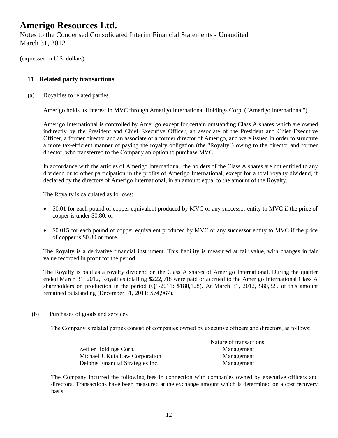Notes to the Condensed Consolidated Interim Financial Statements - Unaudited March 31, 2012

(expressed in U.S. dollars)

#### **11 Related party transactions**

(a) Royalties to related parties

Amerigo holds its interest in MVC through Amerigo International Holdings Corp. ("Amerigo International").

Amerigo International is controlled by Amerigo except for certain outstanding Class A shares which are owned indirectly by the President and Chief Executive Officer, an associate of the President and Chief Executive Officer, a former director and an associate of a former director of Amerigo, and were issued in order to structure a more tax-efficient manner of paying the royalty obligation (the "Royalty") owing to the director and former director, who transferred to the Company an option to purchase MVC.

In accordance with the articles of Amerigo International, the holders of the Class A shares are not entitled to any dividend or to other participation in the profits of Amerigo International, except for a total royalty dividend, if declared by the directors of Amerigo International, in an amount equal to the amount of the Royalty.

The Royalty is calculated as follows:

- \$0.01 for each pound of copper equivalent produced by MVC or any successor entity to MVC if the price of copper is under \$0.80, or
- \$0.015 for each pound of copper equivalent produced by MVC or any successor entity to MVC if the price of copper is \$0.80 or more.

The Royalty is a derivative financial instrument. This liability is measured at fair value, with changes in fair value recorded in profit for the period.

The Royalty is paid as a royalty dividend on the Class A shares of Amerigo International. During the quarter ended March 31, 2012, Royalties totalling \$222,918 were paid or accrued to the Amerigo International Class A shareholders on production in the period (Q1-2011: \$180,128). At March 31, 2012, \$80,325 of this amount remained outstanding (December 31, 2011: \$74,967).

(b) Purchases of goods and services

The Company's related parties consist of companies owned by executive officers and directors, as follows:

|                                   | Nature of transactions |
|-----------------------------------|------------------------|
| Zeitler Holdings Corp.            | Management             |
| Michael J. Kuta Law Corporation   | Management             |
| Delphis Financial Strategies Inc. | Management             |

The Company incurred the following fees in connection with companies owned by executive officers and directors. Transactions have been measured at the exchange amount which is determined on a cost recovery basis.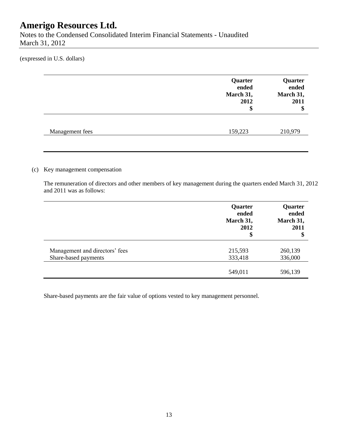Notes to the Condensed Consolidated Interim Financial Statements - Unaudited March 31, 2012

(expressed in U.S. dollars)

|                 | Quarter<br>ended<br>March 31,<br>2012<br>\$ | Quarter<br>ended<br>March 31,<br>2011<br>\$ |
|-----------------|---------------------------------------------|---------------------------------------------|
| Management fees | 159,223                                     | 210,979                                     |

#### (c) Key management compensation

The remuneration of directors and other members of key management during the quarters ended March 31, 2012 and 2011 was as follows:

|                                | Quarter<br>ended<br>March 31,<br>2012<br>\$ | Quarter<br>ended<br>March 31,<br>2011<br>\$ |
|--------------------------------|---------------------------------------------|---------------------------------------------|
| Management and directors' fees | 215,593                                     | 260,139                                     |
| Share-based payments           | 333,418                                     | 336,000                                     |
|                                | 549,011                                     | 596,139                                     |

Share-based payments are the fair value of options vested to key management personnel.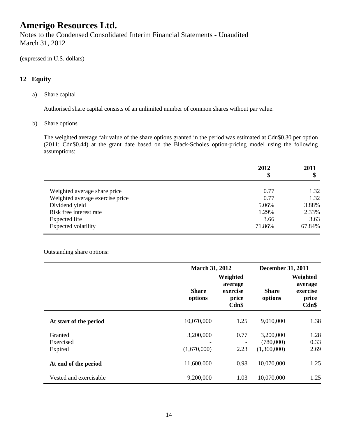Notes to the Condensed Consolidated Interim Financial Statements - Unaudited March 31, 2012

(expressed in U.S. dollars)

### **12 Equity**

a) Share capital

Authorised share capital consists of an unlimited number of common shares without par value.

b) Share options

The weighted average fair value of the share options granted in the period was estimated at Cdn\$0.30 per option (2011: Cdn\$0.44) at the grant date based on the Black-Scholes option-pricing model using the following assumptions:

|                                 | 2012<br>\$ | 2011<br>Φ |
|---------------------------------|------------|-----------|
|                                 |            |           |
| Weighted average share price    | 0.77       | 1.32      |
| Weighted average exercise price | 0.77       | 1.32      |
| Dividend yield                  | 5.06%      | 3.88%     |
| Risk free interest rate         | 1.29%      | 2.33%     |
| Expected life                   | 3.66       | 3.63      |
| Expected volatility             | 71.86%     | 67.84%    |

#### Outstanding share options:

|                                 | <b>March 31, 2012</b>     |                                                   | <b>December 31, 2011</b>  |                                                   |
|---------------------------------|---------------------------|---------------------------------------------------|---------------------------|---------------------------------------------------|
|                                 | <b>Share</b><br>options   | Weighted<br>average<br>exercise<br>price<br>Cdn\$ | Share<br>options          | Weighted<br>average<br>exercise<br>price<br>Cdn\$ |
| At start of the period          | 10,070,000                | 1.25                                              | 9,010,000                 | 1.38                                              |
| Granted<br>Exercised            | 3,200,000                 | 0.77                                              | 3,200,000<br>(780,000)    | 1.28<br>0.33                                      |
| Expired<br>At end of the period | (1,670,000)<br>11,600,000 | 2.23<br>0.98                                      | (1,360,000)<br>10,070,000 | 2.69<br>1.25                                      |
| Vested and exercisable          | 9,200,000                 | 1.03                                              | 10,070,000                | 1.25                                              |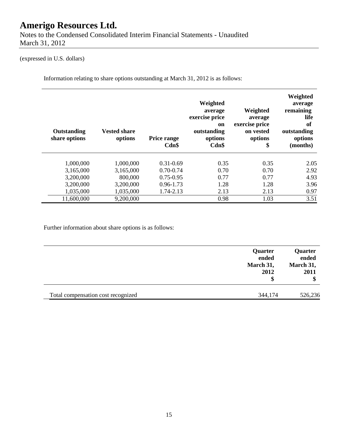Notes to the Condensed Consolidated Interim Financial Statements - Unaudited March 31, 2012

### (expressed in U.S. dollars)

Information relating to share options outstanding at March 31, 2012 is as follows:

| Outstanding<br>share options | <b>Vested share</b><br>options | Price range<br>Cdn\$ | Weighted<br>average<br>exercise price<br>on<br>outstanding<br>options<br>Cdn\$ | Weighted<br>average<br>exercise price<br>on vested<br>options<br>\$ | Weighted<br>average<br>remaining<br>life<br>of<br>outstanding<br>options<br>(months) |
|------------------------------|--------------------------------|----------------------|--------------------------------------------------------------------------------|---------------------------------------------------------------------|--------------------------------------------------------------------------------------|
| 1,000,000                    | 1,000,000                      | $0.31 - 0.69$        | 0.35                                                                           | 0.35                                                                | 2.05                                                                                 |
| 3,165,000                    | 3,165,000                      | $0.70 - 0.74$        | 0.70                                                                           | 0.70                                                                | 2.92                                                                                 |
| 3,200,000                    | 800,000                        | $0.75 - 0.95$        | 0.77                                                                           | 0.77                                                                | 4.93                                                                                 |
| 3,200,000                    | 3,200,000                      | $0.96 - 1.73$        | 1.28                                                                           | 1.28                                                                | 3.96                                                                                 |
| 1,035,000                    | 1,035,000                      | 1.74-2.13            | 2.13                                                                           | 2.13                                                                | 0.97                                                                                 |
| 11,600,000                   | 9,200,000                      |                      | 0.98                                                                           | 1.03                                                                | 3.51                                                                                 |

Further information about share options is as follows:

|                                    | Quarter<br>ended<br>March 31,<br>2012<br>\$ | Quarter<br>ended<br>March 31,<br>2011 |
|------------------------------------|---------------------------------------------|---------------------------------------|
| Total compensation cost recognized | 344,174                                     | 526,236                               |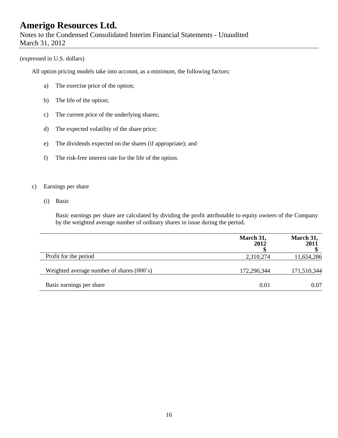Notes to the Condensed Consolidated Interim Financial Statements - Unaudited March 31, 2012

#### (expressed in U.S. dollars)

All option pricing models take into account, as a minimum, the following factors:

- a) The exercise price of the option;
- b) The life of the option;
- c) The current price of the underlying shares;
- d) The expected volatility of the share price;
- e) The dividends expected on the shares (if appropriate); and
- f) The risk-free interest rate for the life of the option.

#### c) Earnings per share

(i) Basic

Basic earnings per share are calculated by dividing the profit attributable to equity owners of the Company by the weighted average number of ordinary shares in issue during the period.

|                                           | March 31,<br>2012 | March 31,<br>2011 |
|-------------------------------------------|-------------------|-------------------|
| Profit for the period                     | 2,310,274         | 11,654,286        |
| Weighted average number of shares (000's) | 172,290,344       | 171,510,344       |
| Basic earnings per share                  | 0.01              | 0.07              |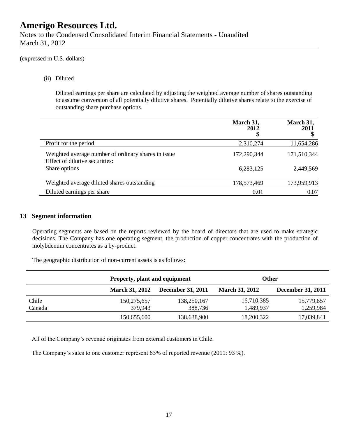Notes to the Condensed Consolidated Interim Financial Statements - Unaudited March 31, 2012

(expressed in U.S. dollars)

(ii) Diluted

Diluted earnings per share are calculated by adjusting the weighted average number of shares outstanding to assume conversion of all potentially dilutive shares. Potentially dilutive shares relate to the exercise of outstanding share purchase options.

|                                                                                       | March 31,<br>2012 | March 31,<br>2011<br>Φ |
|---------------------------------------------------------------------------------------|-------------------|------------------------|
| Profit for the period                                                                 | 2,310,274         | 11,654,286             |
| Weighted average number of ordinary shares in issue<br>Effect of dilutive securities: | 172,290,344       | 171,510,344            |
| Share options                                                                         | 6,283,125         | 2,449,569              |
| Weighted average diluted shares outstanding                                           | 178,573,469       | 173,959,913            |
| Diluted earnings per share                                                            | 0.01              | 0.07                   |

### **13 Segment information**

Operating segments are based on the reports reviewed by the board of directors that are used to make strategic decisions. The Company has one operating segment, the production of copper concentrates with the production of molybdenum concentrates as a by-product.

The geographic distribution of non-current assets is as follows:

|        |                        | Property, plant and equipment |                         | Other                    |
|--------|------------------------|-------------------------------|-------------------------|--------------------------|
|        | <b>March 31, 2012</b>  | <b>December 31, 2011</b>      | <b>March 31, 2012</b>   | <b>December 31, 2011</b> |
| Chile  | 150,275,657            | 138,250,167                   | 16,710,385              | 15,779,857               |
| Canada | 379,943<br>150,655,600 | 388,736<br>138,638,900        | 1,489,937<br>18,200,322 | 1,259,984<br>17,039,841  |

All of the Company's revenue originates from external customers in Chile.

The Company's sales to one customer represent 63% of reported revenue (2011: 93 %).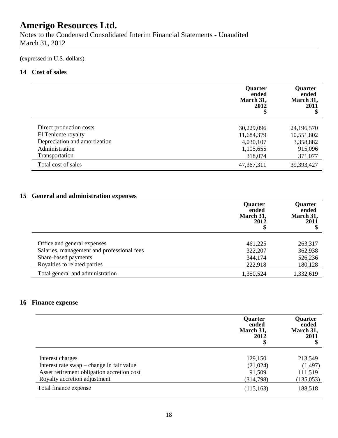Notes to the Condensed Consolidated Interim Financial Statements - Unaudited March 31, 2012

(expressed in U.S. dollars)

### **14 Cost of sales**

|                               | <b>Quarter</b><br>ended<br>March 31,<br>2012 | <b>Quarter</b><br>ended<br>March 31,<br>2011<br>\$ |
|-------------------------------|----------------------------------------------|----------------------------------------------------|
| Direct production costs       | 30,229,096                                   | 24,196,570                                         |
| El Teniente royalty           | 11,684,379                                   | 10,551,802                                         |
| Depreciation and amortization | 4,030,107                                    | 3,358,882                                          |
| Administration                | 1,105,655                                    | 915,096                                            |
| Transportation                | 318,074                                      | 371,077                                            |
| Total cost of sales           | 47,367,311                                   | 39,393,427                                         |

### **15 General and administration expenses**

|                                            | Quarter<br>ended<br>March 31,<br>2012 | <b>Quarter</b><br>ended<br>March 31,<br>2011<br>Φ |
|--------------------------------------------|---------------------------------------|---------------------------------------------------|
| Office and general expenses                | 461,225                               | 263,317                                           |
| Salaries, management and professional fees | 322,207                               | 362,938                                           |
| Share-based payments                       | 344,174                               | 526,236                                           |
| Royalties to related parties               | 222,918                               | 180,128                                           |
| Total general and administration           | 1,350,524                             | 1,332,619                                         |

### **16 Finance expense**

|                                            | Quarter<br>ended<br>March 31,<br>2012 | Quarter<br>ended<br>March 31,<br>2011 |
|--------------------------------------------|---------------------------------------|---------------------------------------|
| Interest charges                           | 129,150                               | 213,549                               |
| Interest rate swap – change in fair value  | (21, 024)                             | (1,497)                               |
| Asset retirement obligation accretion cost | 91,509                                | 111,519                               |
| Royalty accretion adjustment               | (314,798)                             | (135,053)                             |
| Total finance expense                      | (115, 163)                            | 188,518                               |